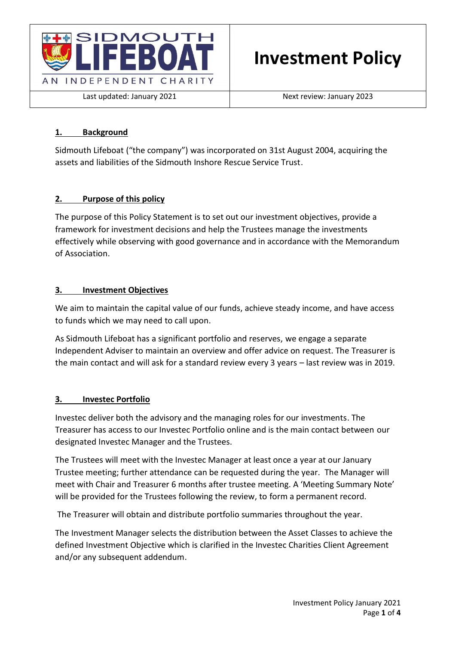

Last updated: January 2021 **Next review: January 2023** 

# **1. Background**

Sidmouth Lifeboat ("the company") was incorporated on 31st August 2004, acquiring the assets and liabilities of the Sidmouth Inshore Rescue Service Trust.

## **2. Purpose of this policy**

The purpose of this Policy Statement is to set out our investment objectives, provide a framework for investment decisions and help the Trustees manage the investments effectively while observing with good governance and in accordance with the Memorandum of Association.

## **3. Investment Objectives**

We aim to maintain the capital value of our funds, achieve steady income, and have access to funds which we may need to call upon.

As Sidmouth Lifeboat has a significant portfolio and reserves, we engage a separate Independent Adviser to maintain an overview and offer advice on request. The Treasurer is the main contact and will ask for a standard review every 3 years – last review was in 2019.

## **3. Investec Portfolio**

Investec deliver both the advisory and the managing roles for our investments. The Treasurer has access to our Investec Portfolio online and is the main contact between our designated Investec Manager and the Trustees.

The Trustees will meet with the Investec Manager at least once a year at our January Trustee meeting; further attendance can be requested during the year. The Manager will meet with Chair and Treasurer 6 months after trustee meeting. A 'Meeting Summary Note' will be provided for the Trustees following the review, to form a permanent record.

The Treasurer will obtain and distribute portfolio summaries throughout the year.

The Investment Manager selects the distribution between the Asset Classes to achieve the defined Investment Objective which is clarified in the Investec Charities Client Agreement and/or any subsequent addendum.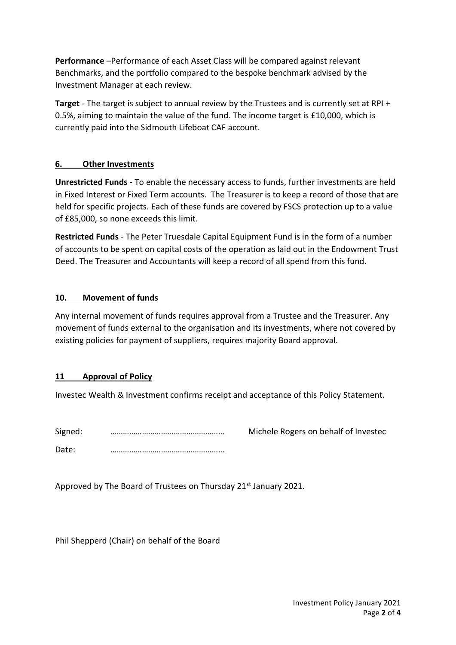**Performance** –Performance of each Asset Class will be compared against relevant Benchmarks, and the portfolio compared to the bespoke benchmark advised by the Investment Manager at each review.

**Target** - The target is subject to annual review by the Trustees and is currently set at RPI + 0.5%, aiming to maintain the value of the fund. The income target is £10,000, which is currently paid into the Sidmouth Lifeboat CAF account.

## **6. Other Investments**

**Unrestricted Funds** - To enable the necessary access to funds, further investments are held in Fixed Interest or Fixed Term accounts. The Treasurer is to keep a record of those that are held for specific projects. Each of these funds are covered by FSCS protection up to a value of £85,000, so none exceeds this limit.

**Restricted Funds** - The Peter Truesdale Capital Equipment Fund is in the form of a number of accounts to be spent on capital costs of the operation as laid out in the Endowment Trust Deed. The Treasurer and Accountants will keep a record of all spend from this fund.

## **10. Movement of funds**

Any internal movement of funds requires approval from a Trustee and the Treasurer. Any movement of funds external to the organisation and its investments, where not covered by existing policies for payment of suppliers, requires majority Board approval.

## **11 Approval of Policy**

Investec Wealth & Investment confirms receipt and acceptance of this Policy Statement.

Signed: ……………………………………………… Michele Rogers on behalf of Investec

Date: ………………………………………………

Approved by The Board of Trustees on Thursday 21<sup>st</sup> January 2021.

Phil Shepperd (Chair) on behalf of the Board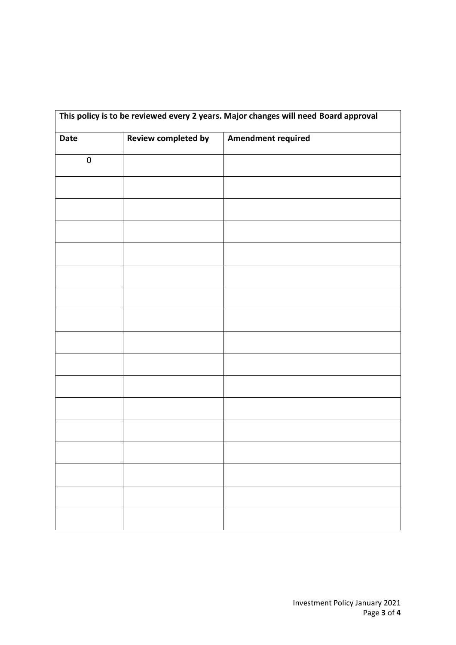| This policy is to be reviewed every 2 years. Major changes will need Board approval |                            |                           |
|-------------------------------------------------------------------------------------|----------------------------|---------------------------|
| Date                                                                                | <b>Review completed by</b> | <b>Amendment required</b> |
| $\pmb{0}$                                                                           |                            |                           |
|                                                                                     |                            |                           |
|                                                                                     |                            |                           |
|                                                                                     |                            |                           |
|                                                                                     |                            |                           |
|                                                                                     |                            |                           |
|                                                                                     |                            |                           |
|                                                                                     |                            |                           |
|                                                                                     |                            |                           |
|                                                                                     |                            |                           |
|                                                                                     |                            |                           |
|                                                                                     |                            |                           |
|                                                                                     |                            |                           |
|                                                                                     |                            |                           |
|                                                                                     |                            |                           |
|                                                                                     |                            |                           |
|                                                                                     |                            |                           |